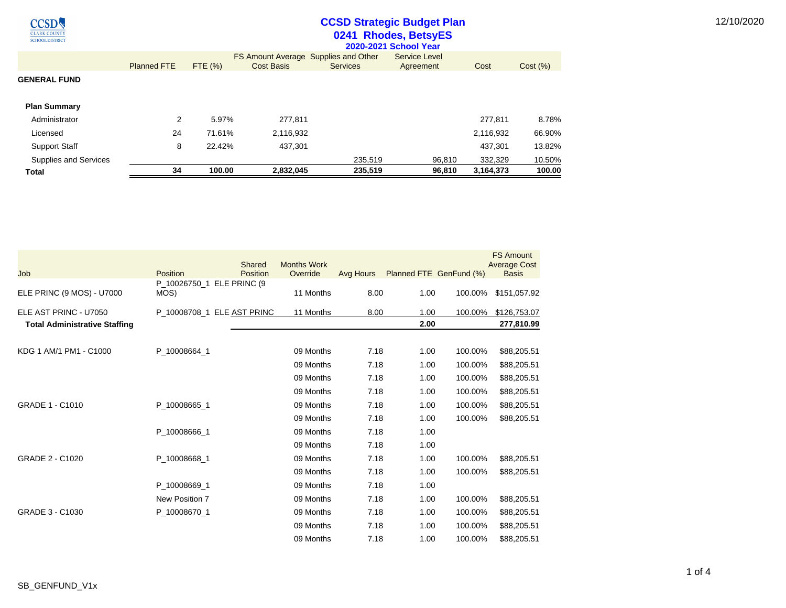$\underbrace{\text{CCSD}}_{\overline{\text{CLARK COUNTY}}}\nonumber$ **SCHOOL DISTRICT** 

## **CCSD Strategic Budget Plan 0241 Rhodes, BetsyES**

| <b>Total</b>          | 34                 | 100.00  | 2,832,045                                                        | 235,519         | 96,810                            | 3,164,373 | 100.00   |
|-----------------------|--------------------|---------|------------------------------------------------------------------|-----------------|-----------------------------------|-----------|----------|
| Supplies and Services |                    |         |                                                                  | 235.519         | 96.810                            | 332,329   | 10.50%   |
| <b>Support Staff</b>  | 8                  | 22.42%  | 437,301                                                          |                 |                                   | 437,301   | 13.82%   |
| Licensed              | 24                 | 71.61%  | 2,116,932                                                        |                 |                                   | 2,116,932 | 66.90%   |
| Administrator         | 2                  | 5.97%   | 277,811                                                          |                 |                                   | 277,811   | 8.78%    |
| <b>Plan Summary</b>   |                    |         |                                                                  |                 |                                   |           |          |
| <b>GENERAL FUND</b>   |                    |         |                                                                  |                 |                                   |           |          |
|                       | <b>Planned FTE</b> | FTE (%) | <b>FS Amount Average Supplies and Other</b><br><b>Cost Basis</b> | <b>Services</b> | <b>Service Level</b><br>Agreement | Cost      | Cost (%) |
|                       |                    |         |                                                                  |                 | 2020-2021 School Year             |           |          |

| Job                                  | <b>Position</b>                   | Shared<br>Position         | <b>Months Work</b><br>Override | Avg Hours | Planned FTE GenFund (%) |         | <b>FS Amount</b><br><b>Average Cost</b><br><b>Basis</b> |
|--------------------------------------|-----------------------------------|----------------------------|--------------------------------|-----------|-------------------------|---------|---------------------------------------------------------|
| ELE PRINC (9 MOS) - U7000            | P 10026750 1 ELE PRINC (9<br>MOS) |                            | 11 Months                      | 8.00      | 1.00                    | 100.00% | \$151,057.92                                            |
| ELE AST PRINC - U7050                |                                   | P_10008708_1 ELE AST PRINC | 11 Months                      | 8.00      | 1.00                    | 100.00% | \$126,753.07                                            |
| <b>Total Administrative Staffing</b> |                                   |                            |                                |           | 2.00                    |         | 277,810.99                                              |
| KDG 1 AM/1 PM1 - C1000               | P 10008664 1                      |                            | 09 Months                      | 7.18      | 1.00                    | 100.00% | \$88,205.51                                             |
|                                      |                                   |                            | 09 Months                      | 7.18      | 1.00                    | 100.00% | \$88,205.51                                             |
|                                      |                                   |                            | 09 Months                      | 7.18      | 1.00                    | 100.00% | \$88,205.51                                             |
|                                      |                                   |                            | 09 Months                      | 7.18      | 1.00                    | 100.00% | \$88,205.51                                             |
| GRADE 1 - C1010                      | P 10008665 1                      |                            | 09 Months                      | 7.18      | 1.00                    | 100.00% | \$88,205.51                                             |
|                                      |                                   |                            | 09 Months                      | 7.18      | 1.00                    | 100.00% | \$88,205.51                                             |
|                                      | P 10008666 1                      |                            | 09 Months                      | 7.18      | 1.00                    |         |                                                         |
|                                      |                                   |                            | 09 Months                      | 7.18      | 1.00                    |         |                                                         |
| GRADE 2 - C1020                      | P 10008668 1                      |                            | 09 Months                      | 7.18      | 1.00                    | 100.00% | \$88,205.51                                             |
|                                      |                                   |                            | 09 Months                      | 7.18      | 1.00                    | 100.00% | \$88,205.51                                             |
|                                      | P 10008669 1                      |                            | 09 Months                      | 7.18      | 1.00                    |         |                                                         |
|                                      | New Position 7                    |                            | 09 Months                      | 7.18      | 1.00                    | 100.00% | \$88,205.51                                             |
| GRADE 3 - C1030                      | P_10008670_1                      |                            | 09 Months                      | 7.18      | 1.00                    | 100.00% | \$88,205.51                                             |
|                                      |                                   |                            | 09 Months                      | 7.18      | 1.00                    | 100.00% | \$88,205.51                                             |
|                                      |                                   |                            | 09 Months                      | 7.18      | 1.00                    | 100.00% | \$88,205.51                                             |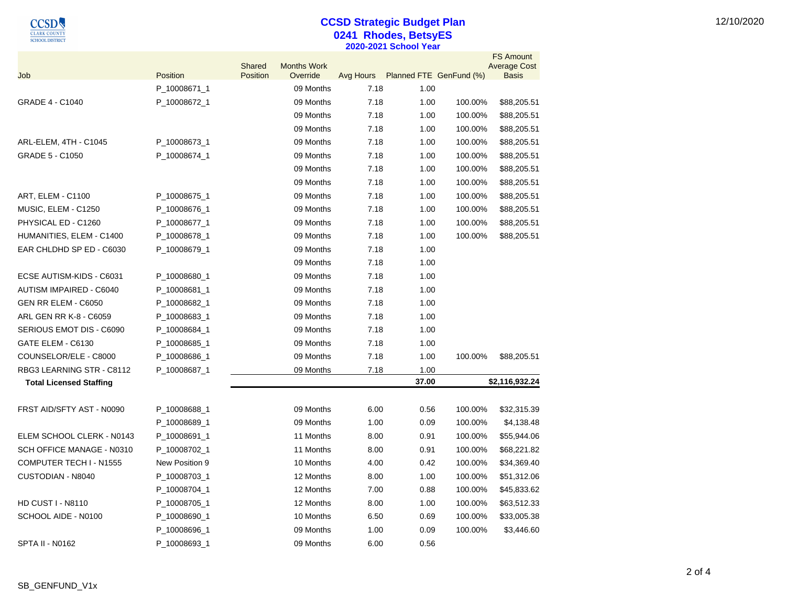$\underbrace{\mathop{\mathbf{CCSD}}}_{\substack{\text{CLARK COUNTY}\\\text{SCHOOL DISTRICT}}}\quad$ 

## **CCSD Strategic Budget Plan 0241 Rhodes, BetsyES 2020-2021 School Year**

|                                                      |                              | Shared   | <b>Months Work</b>     |              |                         |                    | <b>FS Amount</b><br><b>Average Cost</b> |
|------------------------------------------------------|------------------------------|----------|------------------------|--------------|-------------------------|--------------------|-----------------------------------------|
| Job                                                  | Position                     | Position | Override               | Avg Hours    | Planned FTE GenFund (%) |                    | Basis                                   |
|                                                      | P_10008671_1                 |          | 09 Months              | 7.18         | 1.00                    |                    |                                         |
| <b>GRADE 4 - C1040</b>                               | P_10008672_1                 |          | 09 Months              | 7.18         | 1.00                    | 100.00%            | \$88,205.51                             |
|                                                      |                              |          | 09 Months              | 7.18         | 1.00                    | 100.00%            | \$88,205.51                             |
|                                                      |                              |          | 09 Months              | 7.18         | 1.00                    | 100.00%            | \$88,205.51                             |
| ARL-ELEM, 4TH - C1045                                | P_10008673_1                 |          | 09 Months              | 7.18         | 1.00                    | 100.00%            | \$88,205.51                             |
| <b>GRADE 5 - C1050</b>                               | P_10008674_1                 |          | 09 Months              | 7.18<br>7.18 | 1.00                    | 100.00%            | \$88,205.51                             |
|                                                      |                              |          | 09 Months<br>09 Months | 7.18         | 1.00                    | 100.00%<br>100.00% | \$88,205.51                             |
|                                                      |                              |          | 09 Months              | 7.18         | 1.00                    | 100.00%            | \$88,205.51                             |
| <b>ART, ELEM - C1100</b>                             | P_10008675_1                 |          | 09 Months              | 7.18         | 1.00                    | 100.00%            | \$88,205.51                             |
| MUSIC, ELEM - C1250<br>PHYSICAL ED - C1260           | P_10008676_1<br>P_10008677_1 |          | 09 Months              | 7.18         | 1.00<br>1.00            | 100.00%            | \$88,205.51                             |
|                                                      |                              |          | 09 Months              | 7.18         | 1.00                    | 100.00%            | \$88,205.51                             |
| HUMANITIES, ELEM - C1400<br>EAR CHLDHD SP ED - C6030 | P_10008678_1<br>P_10008679_1 |          | 09 Months              | 7.18         | 1.00                    |                    | \$88,205.51                             |
|                                                      |                              |          | 09 Months              | 7.18         | 1.00                    |                    |                                         |
| ECSE AUTISM-KIDS - C6031                             | P_10008680_1                 |          | 09 Months              | 7.18         | 1.00                    |                    |                                         |
| AUTISM IMPAIRED - C6040                              | P_10008681_1                 |          | 09 Months              | 7.18         | 1.00                    |                    |                                         |
| GEN RR ELEM - C6050                                  | P_10008682_1                 |          | 09 Months              | 7.18         | 1.00                    |                    |                                         |
| ARL GEN RR K-8 - C6059                               | P_10008683_1                 |          | 09 Months              | 7.18         | 1.00                    |                    |                                         |
| SERIOUS EMOT DIS - C6090                             | P_10008684_1                 |          | 09 Months              | 7.18         | 1.00                    |                    |                                         |
| GATE ELEM - C6130                                    | P_10008685_1                 |          | 09 Months              | 7.18         | 1.00                    |                    |                                         |
| COUNSELOR/ELE - C8000                                | P_10008686_1                 |          | 09 Months              | 7.18         | 1.00                    | 100.00%            | \$88,205.51                             |
| RBG3 LEARNING STR - C8112                            | P_10008687_1                 |          | 09 Months              | 7.18         | 1.00                    |                    |                                         |
| <b>Total Licensed Staffing</b>                       |                              |          |                        |              | 37.00                   |                    | \$2,116,932.24                          |
|                                                      |                              |          |                        |              |                         |                    |                                         |
| FRST AID/SFTY AST - N0090                            | P_10008688_1                 |          | 09 Months              | 6.00         | 0.56                    | 100.00%            | \$32,315.39                             |
|                                                      | P_10008689_1                 |          | 09 Months              | 1.00         | 0.09                    | 100.00%            | \$4,138.48                              |
| ELEM SCHOOL CLERK - N0143                            | P_10008691_1                 |          | 11 Months              | 8.00         | 0.91                    | 100.00%            | \$55,944.06                             |
| SCH OFFICE MANAGE - N0310                            | P_10008702_1                 |          | 11 Months              | 8.00         | 0.91                    | 100.00%            | \$68,221.82                             |
| COMPUTER TECH I - N1555                              | New Position 9               |          | 10 Months              | 4.00         | 0.42                    | 100.00%            | \$34,369.40                             |
| CUSTODIAN - N8040                                    | P_10008703_1                 |          | 12 Months              | 8.00         | 1.00                    | 100.00%            | \$51,312.06                             |
|                                                      | P_10008704_1                 |          | 12 Months              | 7.00         | 0.88                    | 100.00%            | \$45,833.62                             |
| <b>HD CUST I - N8110</b>                             | P_10008705_1                 |          | 12 Months              | 8.00         | 1.00                    | 100.00%            | \$63,512.33                             |
| SCHOOL AIDE - N0100                                  | P_10008690_1                 |          | 10 Months              | 6.50         | 0.69                    | 100.00%            | \$33,005.38                             |
|                                                      | P_10008696_1                 |          | 09 Months              | 1.00         | 0.09                    | 100.00%            | \$3,446.60                              |
| <b>SPTA II - N0162</b>                               | P_10008693_1                 |          | 09 Months              | 6.00         | 0.56                    |                    |                                         |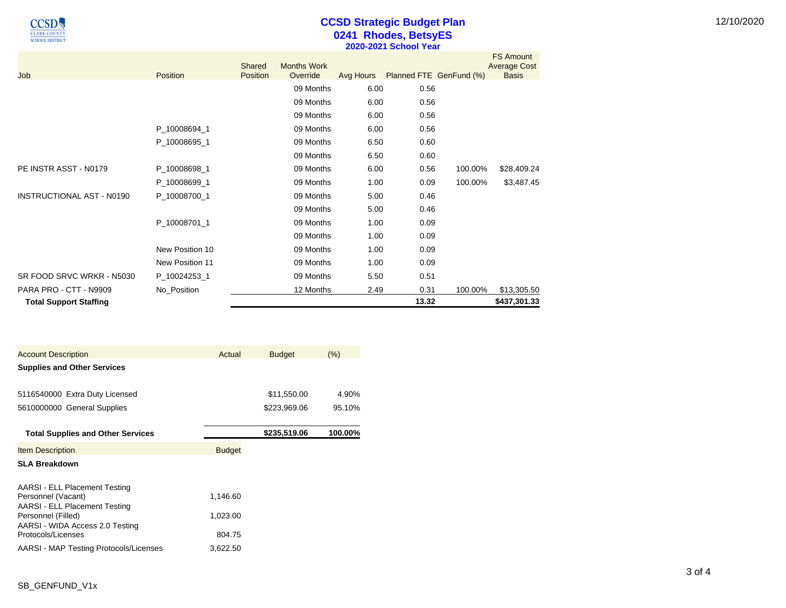$\underbrace{\text{CCSD}}_{\overline{\text{CLARK COUNTY}}}\nonumber$ **SCHOOL DISTRICT** 

## **CCSD Strategic Budget Plan 0241 Rhodes, BetsyES 2020-2021 School Year**

| Job                              | Position        | Shared<br><b>Position</b> | <b>Months Work</b><br>Override | Avg Hours | Planned FTE GenFund (%) |         | <b>FS Amount</b><br><b>Average Cost</b><br><b>Basis</b> |
|----------------------------------|-----------------|---------------------------|--------------------------------|-----------|-------------------------|---------|---------------------------------------------------------|
|                                  |                 |                           | 09 Months                      | 6.00      | 0.56                    |         |                                                         |
|                                  |                 |                           | 09 Months                      | 6.00      | 0.56                    |         |                                                         |
|                                  |                 |                           | 09 Months                      | 6.00      | 0.56                    |         |                                                         |
|                                  | P_10008694_1    |                           | 09 Months                      | 6.00      | 0.56                    |         |                                                         |
|                                  | P 10008695 1    |                           | 09 Months                      | 6.50      | 0.60                    |         |                                                         |
|                                  |                 |                           | 09 Months                      | 6.50      | 0.60                    |         |                                                         |
| PE INSTR ASST - N0179            | P_10008698_1    |                           | 09 Months                      | 6.00      | 0.56                    | 100.00% | \$28,409.24                                             |
|                                  | P 10008699 1    |                           | 09 Months                      | 1.00      | 0.09                    | 100.00% | \$3,487.45                                              |
| <b>INSTRUCTIONAL AST - N0190</b> | P 10008700 1    |                           | 09 Months                      | 5.00      | 0.46                    |         |                                                         |
|                                  |                 |                           | 09 Months                      | 5.00      | 0.46                    |         |                                                         |
|                                  | P_10008701_1    |                           | 09 Months                      | 1.00      | 0.09                    |         |                                                         |
|                                  |                 |                           | 09 Months                      | 1.00      | 0.09                    |         |                                                         |
|                                  | New Position 10 |                           | 09 Months                      | 1.00      | 0.09                    |         |                                                         |
|                                  | New Position 11 |                           | 09 Months                      | 1.00      | 0.09                    |         |                                                         |
| SR FOOD SRVC WRKR - N5030        | P_10024253_1    |                           | 09 Months                      | 5.50      | 0.51                    |         |                                                         |
| PARA PRO - CTT - N9909           | No_Position     |                           | 12 Months                      | 2.49      | 0.31                    | 100.00% | \$13,305.50                                             |
| <b>Total Support Staffing</b>    |                 |                           |                                |           | 13.32                   |         | \$437,301.33                                            |

| <b>Account Description</b>                            | Actual        | <b>Budget</b> | (% )    |
|-------------------------------------------------------|---------------|---------------|---------|
| <b>Supplies and Other Services</b>                    |               |               |         |
|                                                       |               |               |         |
| 5116540000 Extra Duty Licensed                        |               | \$11,550.00   | 4.90%   |
| 5610000000 General Supplies                           |               | \$223,969.06  | 95.10%  |
|                                                       |               |               |         |
| <b>Total Supplies and Other Services</b>              |               | \$235,519.06  | 100.00% |
| <b>Item Description</b>                               | <b>Budget</b> |               |         |
| <b>SLA Breakdown</b>                                  |               |               |         |
| AARSI - ELL Placement Testing                         |               |               |         |
| Personnel (Vacant)                                    | 1,146.60      |               |         |
| AARSI - ELL Placement Testing<br>Personnel (Filled)   | 1,023.00      |               |         |
| AARSI - WIDA Access 2.0 Testing<br>Protocols/Licenses | 804.75        |               |         |
| AARSI - MAP Testing Protocols/Licenses                | 3,622.50      |               |         |